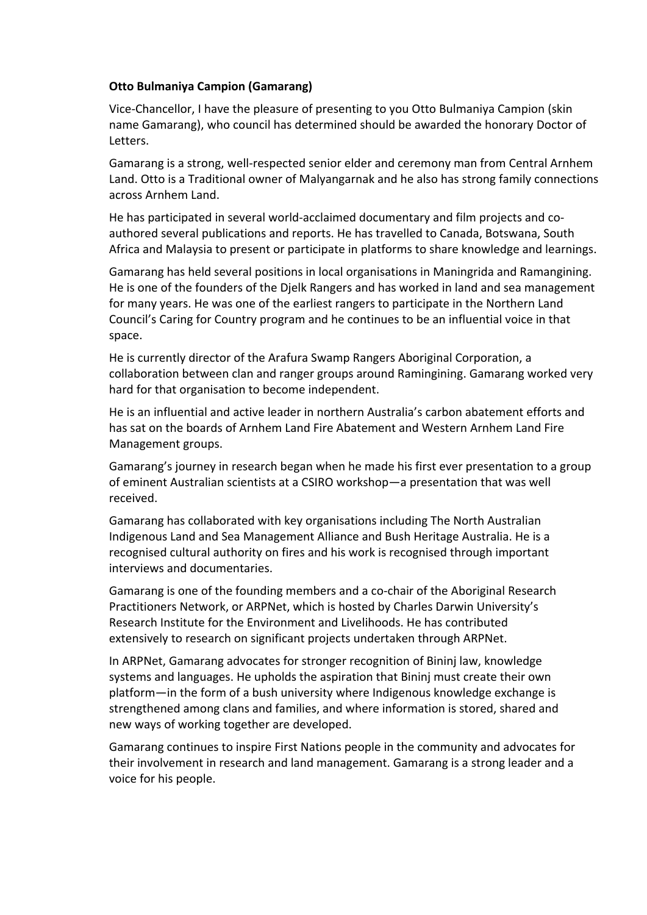## **Otto Bulmaniya Campion (Gamarang)**

Vice‐Chancellor, I have the pleasure of presenting to you Otto Bulmaniya Campion (skin name Gamarang), who council has determined should be awarded the honorary Doctor of Letters.

Gamarang is a strong, well‐respected senior elder and ceremony man from Central Arnhem Land. Otto is a Traditional owner of Malyangarnak and he also has strong family connections across Arnhem Land.

He has participated in several world‐acclaimed documentary and film projects and co‐ authored several publications and reports. He has travelled to Canada, Botswana, South Africa and Malaysia to present or participate in platforms to share knowledge and learnings.

Gamarang has held several positions in local organisations in Maningrida and Ramangining. He is one of the founders of the Djelk Rangers and has worked in land and sea management for many years. He was one of the earliest rangers to participate in the Northern Land Council's Caring for Country program and he continues to be an influential voice in that space.

He is currently director of the Arafura Swamp Rangers Aboriginal Corporation, a collaboration between clan and ranger groups around Ramingining. Gamarang worked very hard for that organisation to become independent.

He is an influential and active leader in northern Australia's carbon abatement efforts and has sat on the boards of Arnhem Land Fire Abatement and Western Arnhem Land Fire Management groups.

Gamarang's journey in research began when he made his first ever presentation to a group of eminent Australian scientists at a CSIRO workshop—a presentation that was well received.

Gamarang has collaborated with key organisations including The North Australian Indigenous Land and Sea Management Alliance and Bush Heritage Australia. He is a recognised cultural authority on fires and his work is recognised through important interviews and documentaries.

Gamarang is one of the founding members and a co‐chair of the Aboriginal Research Practitioners Network, or ARPNet, which is hosted by Charles Darwin University's Research Institute for the Environment and Livelihoods. He has contributed extensively to research on significant projects undertaken through ARPNet.

In ARPNet, Gamarang advocates for stronger recognition of Bininj law, knowledge systems and languages. He upholds the aspiration that Bininj must create their own platform—in the form of a bush university where Indigenous knowledge exchange is strengthened among clans and families, and where information is stored, shared and new ways of working together are developed.

Gamarang continues to inspire First Nations people in the community and advocates for their involvement in research and land management. Gamarang is a strong leader and a voice for his people.